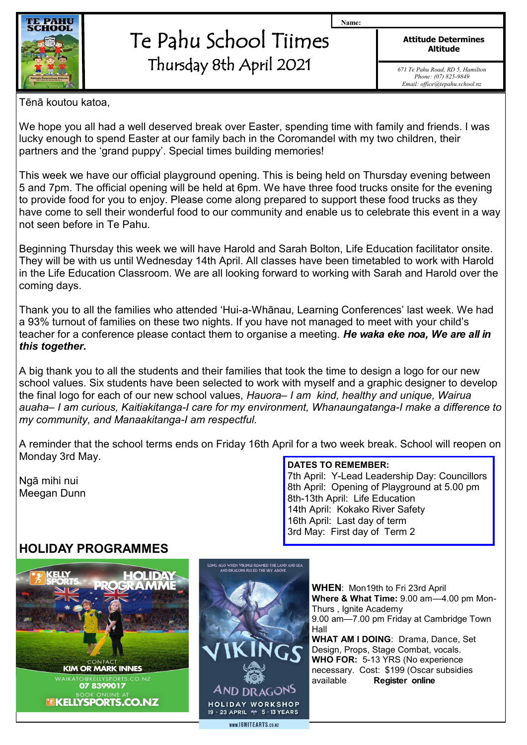

# Te Pahu School Tiimes Thursday 8th April 2021

**Attitude Determines Altitude**

**Name:**

*671 Te Pahu Road, RD 5, Hamilton Phone: (07) 825-9849 Email: office@tepahu.school.nz*

Tēnā koutou katoa,

We hope you all had a well deserved break over Easter, spending time with family and friends. I was lucky enough to spend Easter at our family bach in the Coromandel with my two children, their partners and the 'grand puppy'. Special times building memories!

This week we have our official playground opening. This is being held on Thursday evening between 5 and 7pm. The official opening will be held at 6pm. We have three food trucks onsite for the evening to provide food for you to enjoy. Please come along prepared to support these food trucks as they have come to sell their wonderful food to our community and enable us to celebrate this event in a way not seen before in Te Pahu.

Beginning Thursday this week we will have Harold and Sarah Bolton, Life Education facilitator onsite. They will be with us until Wednesday 14th April. All classes have been timetabled to work with Harold in the Life Education Classroom. We are all looking forward to working with Sarah and Harold over the coming days.

Thank you to all the families who attended 'Hui-a-Whānau, Learning Conferences' last week. We had a 93% turnout of families on these two nights. If you have not managed to meet with your child's teacher for a conference please contact them to organise a meeting. *He waka eke noa, We are all in this together.*

A big thank you to all the students and their families that took the time to design a logo for our new school values. Six students have been selected to work with myself and a graphic designer to develop the final logo for each of our new school values, *Hauora– I am kind, healthy and unique, Wairua auaha– I am curious, Kaitiakitanga-I care for my environment, Whanaungatanga-I make a difference to my community, and Manaakitanga-I am respectful.* 

A reminder that the school terms ends on Friday 16th April for a two week break. School will reopen on Monday 3rd May.

Ngā mihi nui Meegan Dunn **DATES TO REMEMBER:**

7th April: Y-Lead Leadership Day: Councillors 8th April: Opening of Playground at 5.00 pm 8th-13th April: Life Education 14th April: Kokako River Safety 16th April: Last day of term 3rd May: First day of Term 2

## **HOLIDAY PROGRAMMES**





**WHEN**: Mon19th to Fri 23rd April **Where & What Time:** 9.00 am—4.00 pm Mon-Thurs , Ignite Academy 9.00 am—7.00 pm Friday at Cambridge Town Hall **WHAT AM I DOING**: Drama, Dance, Set

Design, Props, Stage Combat, vocals. **WHO FOR:** 5-13 YRS (No experience necessary. Cost: \$199 (Oscar subsidies available **Register online**